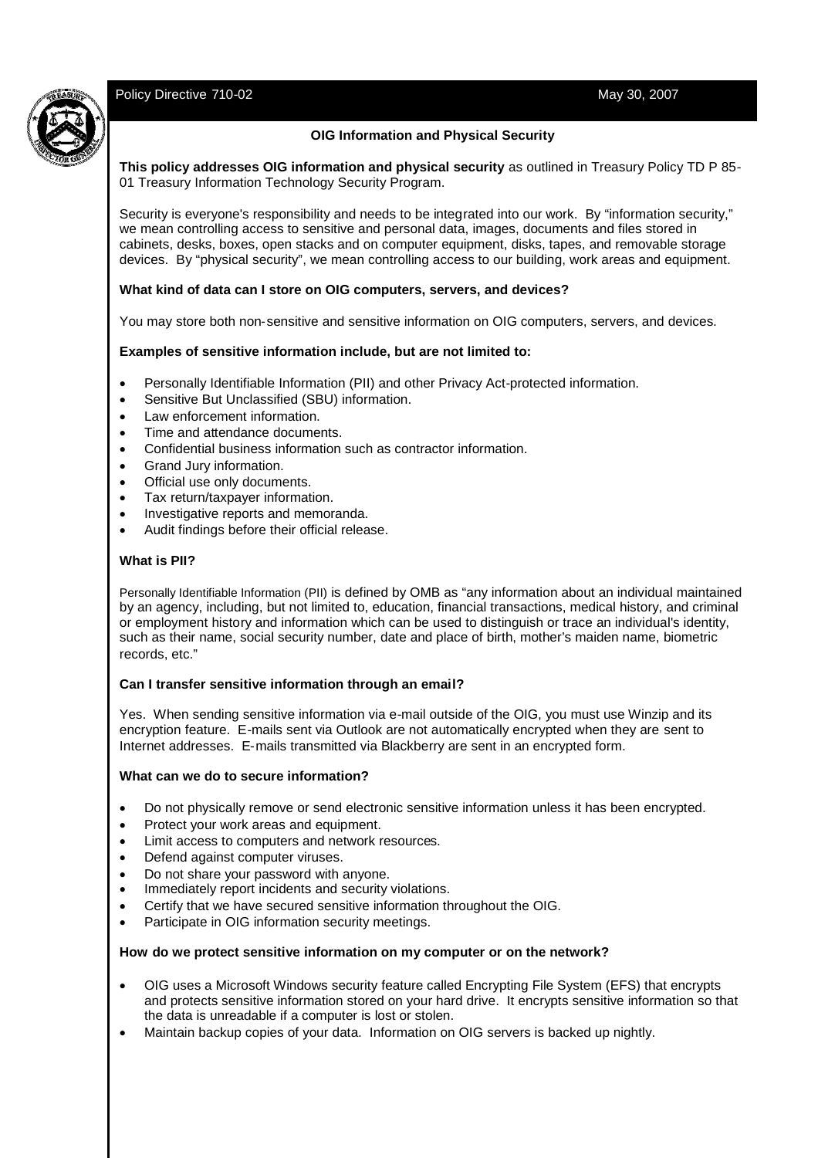# Policy Directive 710-02 **May 30, 2007** May 30, 2007



## **OIG Information and Physical Security**

**This policy addresses OIG information and physical security** as outlined in Treasury Policy TD P 85- 01 Treasury Information Technology Security Program.

Security is everyone's responsibility and needs to be integrated into our work. By "information security," we mean controlling access to sensitive and personal data, images, documents and files stored in cabinets, desks, boxes, open stacks and on computer equipment, disks, tapes, and removable storage devices. By "physical security", we mean controlling access to our building, work areas and equipment.

#### **What kind of data can I store on OIG computers, servers, and devices?**

You may store both non-sensitive and sensitive information on OIG computers, servers, and devices.

## **Examples of sensitive information include, but are not limited to:**

- Personally Identifiable Information (PII) and other Privacy Act-protected information.
- Sensitive But Unclassified (SBU) information.
- Law enforcement information.
- Time and attendance documents.
- Confidential business information such as contractor information.
- Grand Jury information.
- Official use only documents.
- Tax return/taxpayer information.
- Investigative reports and memoranda.
- Audit findings before their official release.

#### **What is PII?**

Personally Identifiable Information (PII) is defined by OMB as "any information about an individual maintained by an agency, including, but not limited to, education, financial transactions, medical history, and criminal or employment history and information which can be used to distinguish or trace an individual's identity, such as their name, social security number, date and place of birth, mother's maiden name, biometric records, etc."

#### **Can I transfer sensitive information through an email?**

Yes. When sending sensitive information via e-mail outside of the OIG, you must use Winzip and its encryption feature. E-mails sent via Outlook are not automatically encrypted when they are sent to Internet addresses. E-mails transmitted via Blackberry are sent in an encrypted form.

#### **What can we do to secure information?**

- Do not physically remove or send electronic sensitive information unless it has been encrypted.
- Protect your work areas and equipment.
- **•** Limit access to computers and network resources.
- Defend against computer viruses.
- Do not share your password with anyone.
- Immediately report incidents and security violations.
- Certify that we have secured sensitive information throughout the OIG.
- Participate in OIG information security meetings.

#### **How do we protect sensitive information on my computer or on the network?**

- OIG uses a Microsoft Windows security feature called Encrypting File System (EFS) that encrypts and protects sensitive information stored on your hard drive. It encrypts sensitive information so that the data is unreadable if a computer is lost or stolen.
- Maintain backup copies of your data. Information on OIG servers is backed up nightly.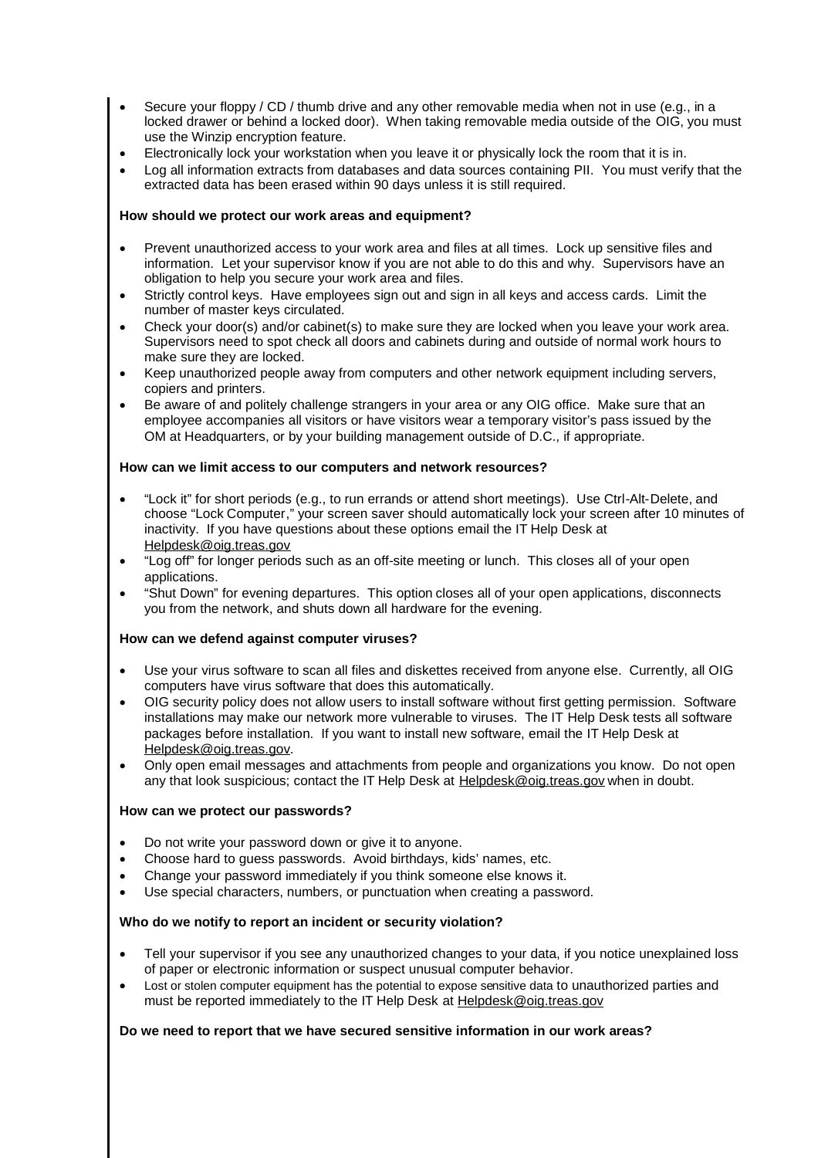- Secure your floppy / CD / thumb drive and any other removable media when not in use (e.g., in a locked drawer or behind a locked door). When taking removable media outside of the OIG, you must use the Winzip encryption feature.
- Electronically lock your workstation when you leave it or physically lock the room that it is in.
- Log all information extracts from databases and data sources containing PII. You must verify that the extracted data has been erased within 90 days unless it is still required.

## **How should we protect our work areas and equipment?**

- Prevent unauthorized access to your work area and files at all times. Lock up sensitive files and information. Let your supervisor know if you are not able to do this and why. Supervisors have an obligation to help you secure your work area and files.
- Strictly control keys. Have employees sign out and sign in all keys and access cards. Limit the number of master keys circulated.
- Check your door(s) and/or cabinet(s) to make sure they are locked when you leave your work area. Supervisors need to spot check all doors and cabinets during and outside of normal work hours to make sure they are locked.
- Keep unauthorized people away from computers and other network equipment including servers, copiers and printers.
- Be aware of and politely challenge strangers in your area or any OIG office. Make sure that an employee accompanies all visitors or have visitors wear a temporary visitor's pass issued by the OM at Headquarters, or by your building management outside of D.C., if appropriate.

## **How can we limit access to our computers and network resources?**

- "Lock it" for short periods (e.g., to run errands or attend short meetings). Use Ctrl-Alt-Delete, and choose "Lock Computer," your screen saver should automatically lock your screen after 10 minutes of inactivity. If you have questions about these options email the IT Help Desk at Helpdesk@oig.treas.gov
- "Log off" for longer periods such as an off-site meeting or lunch. This closes all of your open applications.
- "Shut Down" for evening departures. This option closes all of your open applications, disconnects you from the network, and shuts down all hardware for the evening.

## **How can we defend against computer viruses?**

- Use your virus software to scan all files and diskettes received from anyone else. Currently, all OIG computers have virus software that does this automatically.
- OIG security policy does not allow users to install software without first getting permission. Software installations may make our network more vulnerable to viruses. The IT Help Desk tests all software packages before installation. If you want to install new software, email the IT Help Desk at Helpdesk@oig.treas.gov.
- Only open email messages and attachments from people and organizations you know. Do not open any that look suspicious; contact the IT Help Desk at Helpdesk@oig.treas.gov when in doubt.

#### **How can we protect our passwords?**

- Do not write your password down or give it to anyone.
- Choose hard to guess passwords. Avoid birthdays, kids' names, etc.
- Change your password immediately if you think someone else knows it.
- Use special characters, numbers, or punctuation when creating a password.

#### **Who do we notify to report an incident or security violation?**

- Tell your supervisor if you see any unauthorized changes to your data, if you notice unexplained loss of paper or electronic information or suspect unusual computer behavior.
- Lost or stolen computer equipment has the potential to expose sensitive data to unauthorized parties and must be reported immediately to the IT Help Desk at Helpdesk@oig.treas.gov

## **Do we need to report that we have secured sensitive information in our work areas?**